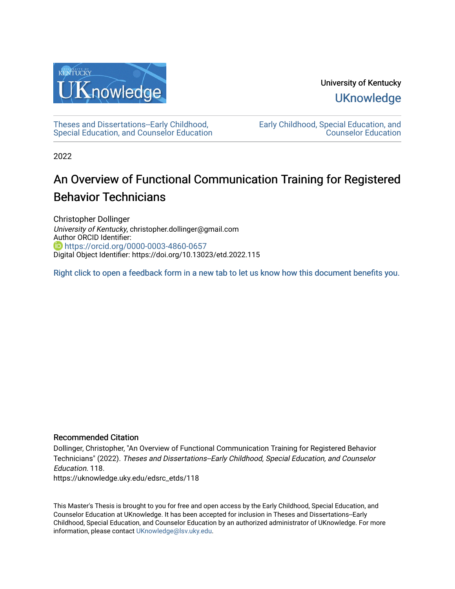

University of Kentucky **UKnowledge** 

[Theses and Dissertations--Early Childhood,](https://uknowledge.uky.edu/edsrc_etds)  [Special Education, and Counselor Education](https://uknowledge.uky.edu/edsrc_etds) [Early Childhood, Special Education, and](https://uknowledge.uky.edu/edsrc)  [Counselor Education](https://uknowledge.uky.edu/edsrc) 

2022

# An Overview of Functional Communication Training for Registered Behavior Technicians

Christopher Dollinger University of Kentucky, christopher.dollinger@gmail.com Author ORCID Identifier: **https://orcid.org/0000-0003-4860-0657** Digital Object Identifier: https://doi.org/10.13023/etd.2022.115

[Right click to open a feedback form in a new tab to let us know how this document benefits you.](https://uky.az1.qualtrics.com/jfe/form/SV_9mq8fx2GnONRfz7)

#### Recommended Citation

Dollinger, Christopher, "An Overview of Functional Communication Training for Registered Behavior Technicians" (2022). Theses and Dissertations--Early Childhood, Special Education, and Counselor Education. 118. https://uknowledge.uky.edu/edsrc\_etds/118

This Master's Thesis is brought to you for free and open access by the Early Childhood, Special Education, and Counselor Education at UKnowledge. It has been accepted for inclusion in Theses and Dissertations--Early Childhood, Special Education, and Counselor Education by an authorized administrator of UKnowledge. For more information, please contact [UKnowledge@lsv.uky.edu](mailto:UKnowledge@lsv.uky.edu).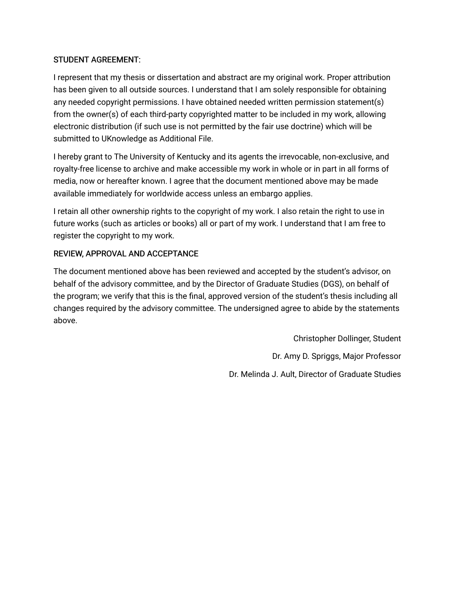### STUDENT AGREEMENT:

I represent that my thesis or dissertation and abstract are my original work. Proper attribution has been given to all outside sources. I understand that I am solely responsible for obtaining any needed copyright permissions. I have obtained needed written permission statement(s) from the owner(s) of each third-party copyrighted matter to be included in my work, allowing electronic distribution (if such use is not permitted by the fair use doctrine) which will be submitted to UKnowledge as Additional File.

I hereby grant to The University of Kentucky and its agents the irrevocable, non-exclusive, and royalty-free license to archive and make accessible my work in whole or in part in all forms of media, now or hereafter known. I agree that the document mentioned above may be made available immediately for worldwide access unless an embargo applies.

I retain all other ownership rights to the copyright of my work. I also retain the right to use in future works (such as articles or books) all or part of my work. I understand that I am free to register the copyright to my work.

### REVIEW, APPROVAL AND ACCEPTANCE

The document mentioned above has been reviewed and accepted by the student's advisor, on behalf of the advisory committee, and by the Director of Graduate Studies (DGS), on behalf of the program; we verify that this is the final, approved version of the student's thesis including all changes required by the advisory committee. The undersigned agree to abide by the statements above.

> Christopher Dollinger, Student Dr. Amy D. Spriggs, Major Professor Dr. Melinda J. Ault, Director of Graduate Studies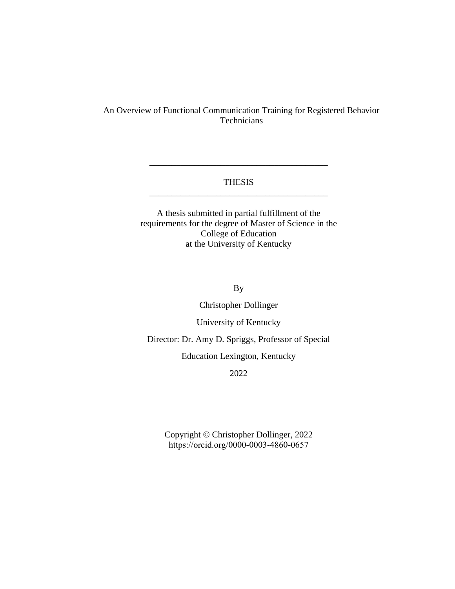#### An Overview of Functional Communication Training for Registered Behavior **Technicians**

#### THESIS \_\_\_\_\_\_\_\_\_\_\_\_\_\_\_\_\_\_\_\_\_\_\_\_\_\_\_\_\_\_\_\_\_\_\_\_\_\_\_\_

\_\_\_\_\_\_\_\_\_\_\_\_\_\_\_\_\_\_\_\_\_\_\_\_\_\_\_\_\_\_\_\_\_\_\_\_\_\_\_\_

A thesis submitted in partial fulfillment of the requirements for the degree of Master of Science in the College of Education at the University of Kentucky

By

Christopher Dollinger

University of Kentucky

Director: Dr. Amy D. Spriggs, Professor of Special

Education Lexington, Kentucky

2022

Copyright © Christopher Dollinger, 2022 [https://orcid.org/000](https://orcid.org/00)0-0003-4860-0657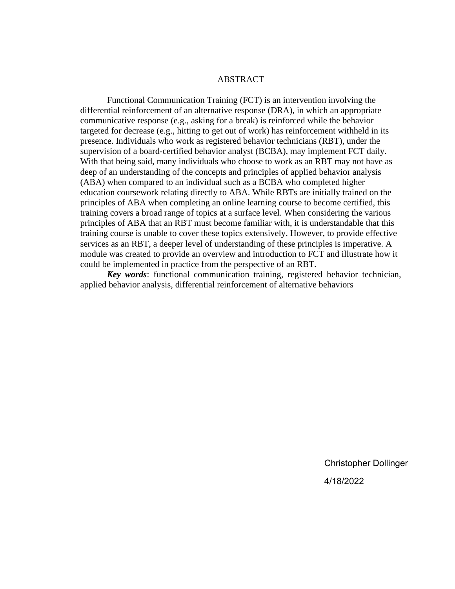#### ABSTRACT

Functional Communication Training (FCT) is an intervention involving the differential reinforcement of an alternative response (DRA), in which an appropriate communicative response (e.g., asking for a break) is reinforced while the behavior targeted for decrease (e.g., hitting to get out of work) has reinforcement withheld in its presence. Individuals who work as registered behavior technicians (RBT), under the supervision of a board-certified behavior analyst (BCBA), may implement FCT daily. With that being said, many individuals who choose to work as an RBT may not have as deep of an understanding of the concepts and principles of applied behavior analysis (ABA) when compared to an individual such as a BCBA who completed higher education coursework relating directly to ABA. While RBTs are initially trained on the principles of ABA when completing an online learning course to become certified, this training covers a broad range of topics at a surface level. When considering the various principles of ABA that an RBT must become familiar with, it is understandable that this training course is unable to cover these topics extensively. However, to provide effective services as an RBT, a deeper level of understanding of these principles is imperative. A module was created to provide an overview and introduction to FCT and illustrate how it could be implemented in practice from the perspective of an RBT.

*Key words*: functional communication training, registered behavior technician, applied behavior analysis, differential reinforcement of alternative behaviors

> Christopher Dollinger 4/18/2022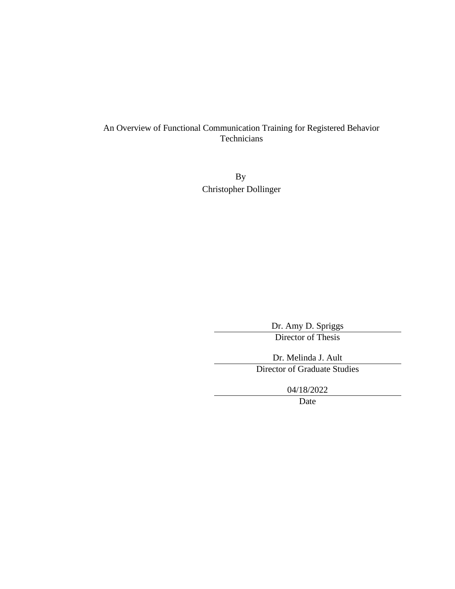#### An Overview of Functional Communication Training for Registered Behavior Technicians

By Christopher Dollinger

> Dr. Amy D. Spriggs Director of Thesis

Dr. Melinda J. Ault Director of Graduate Studies

04/18/2022

Date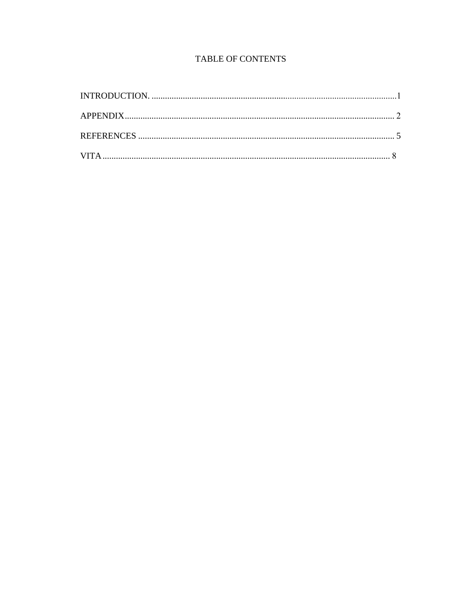## TABLE OF CONTENTS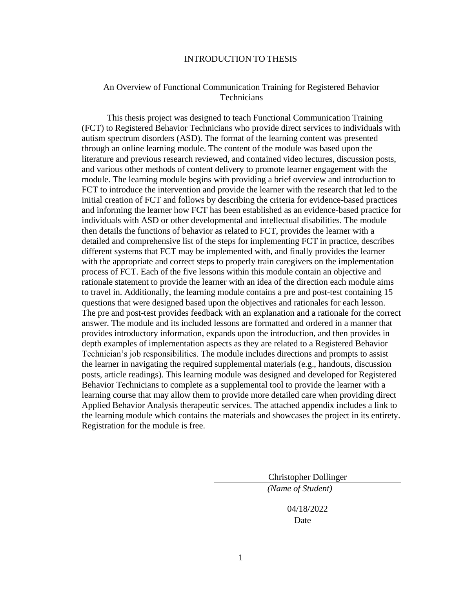#### INTRODUCTION TO THESIS

#### <span id="page-6-0"></span>An Overview of Functional Communication Training for Registered Behavior **Technicians**

This thesis project was designed to teach Functional Communication Training (FCT) to Registered Behavior Technicians who provide direct services to individuals with autism spectrum disorders (ASD). The format of the learning content was presented through an online learning module. The content of the module was based upon the literature and previous research reviewed, and contained video lectures, discussion posts, and various other methods of content delivery to promote learner engagement with the module. The learning module begins with providing a brief overview and introduction to FCT to introduce the intervention and provide the learner with the research that led to the initial creation of FCT and follows by describing the criteria for evidence-based practices and informing the learner how FCT has been established as an evidence-based practice for individuals with ASD or other developmental and intellectual disabilities. The module then details the functions of behavior as related to FCT, provides the learner with a detailed and comprehensive list of the steps for implementing FCT in practice, describes different systems that FCT may be implemented with, and finally provides the learner with the appropriate and correct steps to properly train caregivers on the implementation process of FCT. Each of the five lessons within this module contain an objective and rationale statement to provide the learner with an idea of the direction each module aims to travel in. Additionally, the learning module contains a pre and post-test containing 15 questions that were designed based upon the objectives and rationales for each lesson. The pre and post-test provides feedback with an explanation and a rationale for the correct answer. The module and its included lessons are formatted and ordered in a manner that provides introductory information, expands upon the introduction, and then provides in depth examples of implementation aspects as they are related to a Registered Behavior Technician's job responsibilities. The module includes directions and prompts to assist the learner in navigating the required supplemental materials (e.g., handouts, discussion posts, article readings). This learning module was designed and developed for Registered Behavior Technicians to complete as a supplemental tool to provide the learner with a learning course that may allow them to provide more detailed care when providing direct Applied Behavior Analysis therapeutic services. The attached appendix includes a link to the learning module which contains the materials and showcases the project in its entirety. Registration for the module is free.

> Christopher Dollinger *(Name of Student)*

> > 04/18/2022

Date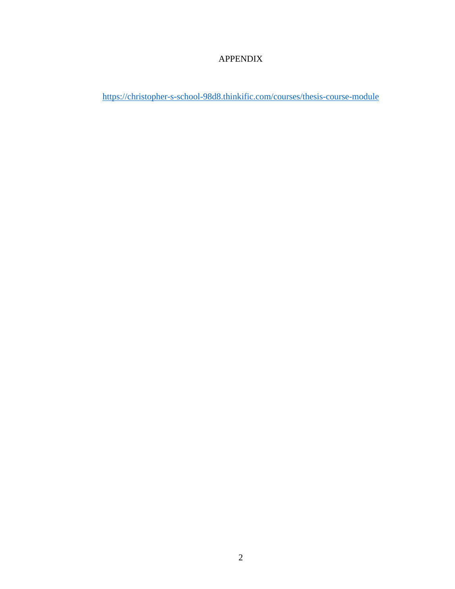## APPENDIX

<span id="page-7-0"></span><https://christopher-s-school-98d8.thinkific.com/courses/thesis-course-module>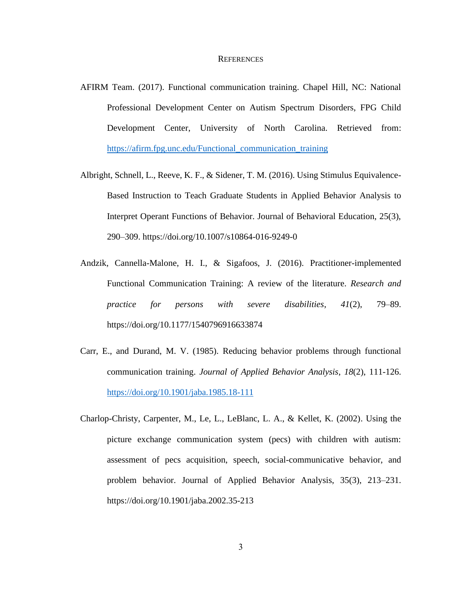#### **REFERENCES**

- AFIRM Team. (2017). Functional communication training. Chapel Hill, NC: National Professional Development Center on Autism Spectrum Disorders, FPG Child Development Center, University of North Carolina. Retrieved from: [https://afirm.fpg.unc.edu/Functional\\_communication\\_training](https://afirm.fpg.unc.edu/Functional_communication_training)
- Albright, Schnell, L., Reeve, K. F., & Sidener, T. M. (2016). Using Stimulus Equivalence-Based Instruction to Teach Graduate Students in Applied Behavior Analysis to Interpret Operant Functions of Behavior. Journal of Behavioral Education, 25(3), 290–309. https://doi.org/10.1007/s10864-016-9249-0
- Andzik, Cannella-Malone, H. I., & Sigafoos, J. (2016). Practitioner-implemented Functional Communication Training: A review of the literature. *Research and practice for persons with severe disabilities*, *41*(2), 79–89. https://doi.org/10.1177/1540796916633874
- Carr, E., and Durand, M. V. (1985). Reducing behavior problems through functional communication training. *Journal of Applied Behavior Analysis*, *18*(2), 111-126. <https://doi.org/10.1901/jaba.1985.18-111>
- Charlop-Christy, Carpenter, M., Le, L., LeBlanc, L. A., & Kellet, K. (2002). Using the picture exchange communication system (pecs) with children with autism: assessment of pecs acquisition, speech, social-communicative behavior, and problem behavior. Journal of Applied Behavior Analysis, 35(3), 213–231. https://doi.org/10.1901/jaba.2002.35-213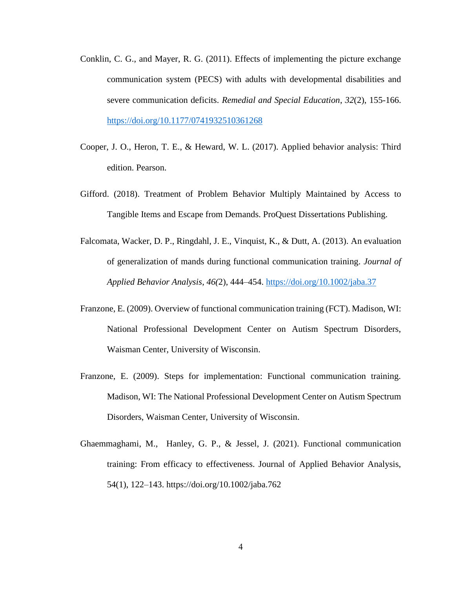- Conklin, C. G., and Mayer, R. G. (2011). Effects of implementing the picture exchange communication system (PECS) with adults with developmental disabilities and severe communication deficits. *Remedial and Special Education*, *32*(2), 155-166. <https://doi.org/10.1177/0741932510361268>
- Cooper, J. O., Heron, T. E., & Heward, W. L. (2017). Applied behavior analysis: Third edition. Pearson.
- Gifford. (2018). Treatment of Problem Behavior Multiply Maintained by Access to Tangible Items and Escape from Demands. ProQuest Dissertations Publishing.
- Falcomata, Wacker, D. P., Ringdahl, J. E., Vinquist, K., & Dutt, A. (2013). An evaluation of generalization of mands during functional communication training. *Journal of Applied Behavior Analysis*, *46(*2), 444–454.<https://doi.org/10.1002/jaba.37>
- Franzone, E. (2009). Overview of functional communication training (FCT). Madison, WI: National Professional Development Center on Autism Spectrum Disorders, Waisman Center, University of Wisconsin.
- Franzone, E. (2009). Steps for implementation: Functional communication training. Madison, WI: The National Professional Development Center on Autism Spectrum Disorders, Waisman Center, University of Wisconsin.
- Ghaemmaghami, M., Hanley, G. P., & Jessel, J. (2021). Functional communication training: From efficacy to effectiveness. Journal of Applied Behavior Analysis, 54(1), 122–143. https://doi.org/10.1002/jaba.762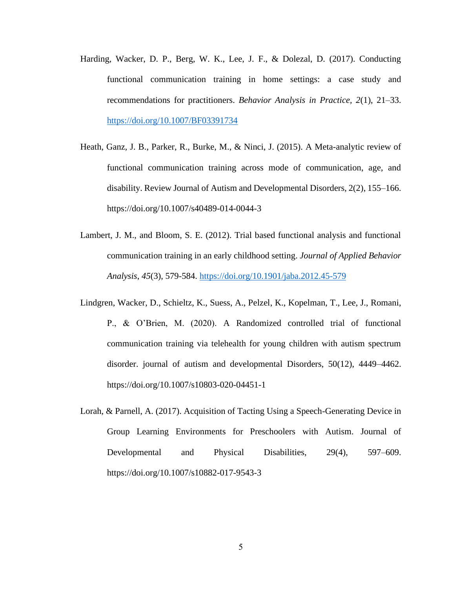- Harding, Wacker, D. P., Berg, W. K., Lee, J. F., & Dolezal, D. (2017). Conducting functional communication training in home settings: a case study and recommendations for practitioners. *Behavior Analysis in Practice, 2*(1), 21–33. <https://doi.org/10.1007/BF03391734>
- Heath, Ganz, J. B., Parker, R., Burke, M., & Ninci, J. (2015). A Meta-analytic review of functional communication training across mode of communication, age, and disability. Review Journal of Autism and Developmental Disorders, 2(2), 155–166. https://doi.org/10.1007/s40489-014-0044-3
- Lambert, J. M., and Bloom, S. E. (2012). Trial based functional analysis and functional communication training in an early childhood setting. *Journal of Applied Behavior Analysis*, *45*(3), 579-584.<https://doi.org/10.1901/jaba.2012.45-579>
- Lindgren, Wacker, D., Schieltz, K., Suess, A., Pelzel, K., Kopelman, T., Lee, J., Romani, P., & O'Brien, M. (2020). A Randomized controlled trial of functional communication training via telehealth for young children with autism spectrum disorder. journal of autism and developmental Disorders, 50(12), 4449–4462. https://doi.org/10.1007/s10803-020-04451-1
- Lorah, & Parnell, A. (2017). Acquisition of Tacting Using a Speech-Generating Device in Group Learning Environments for Preschoolers with Autism. Journal of Developmental and Physical Disabilities, 29(4), 597–609. https://doi.org/10.1007/s10882-017-9543-3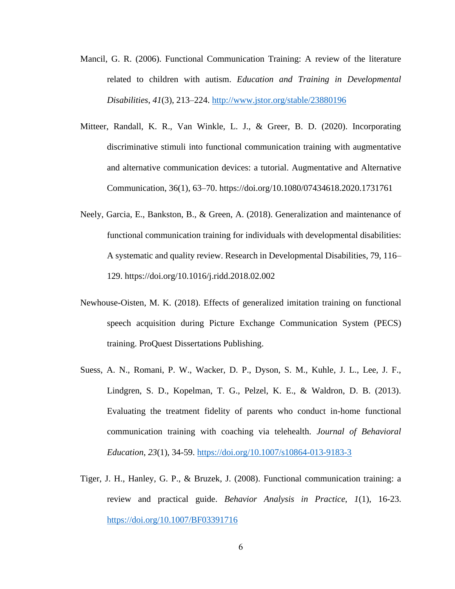- Mancil, G. R. (2006). Functional Communication Training: A review of the literature related to children with autism. *Education and Training in Developmental Disabilities*, *41*(3), 213–224.<http://www.jstor.org/stable/23880196>
- Mitteer, Randall, K. R., Van Winkle, L. J., & Greer, B. D. (2020). Incorporating discriminative stimuli into functional communication training with augmentative and alternative communication devices: a tutorial. Augmentative and Alternative Communication, 36(1), 63–70. https://doi.org/10.1080/07434618.2020.1731761
- Neely, Garcia, E., Bankston, B., & Green, A. (2018). Generalization and maintenance of functional communication training for individuals with developmental disabilities: A systematic and quality review. Research in Developmental Disabilities, 79, 116– 129. https://doi.org/10.1016/j.ridd.2018.02.002
- Newhouse-Oisten, M. K. (2018). Effects of generalized imitation training on functional speech acquisition during Picture Exchange Communication System (PECS) training. ProQuest Dissertations Publishing.
- Suess, A. N., Romani, P. W., Wacker, D. P., Dyson, S. M., Kuhle, J. L., Lee, J. F., Lindgren, S. D., Kopelman, T. G., Pelzel, K. E., & Waldron, D. B. (2013). Evaluating the treatment fidelity of parents who conduct in-home functional communication training with coaching via telehealth. *Journal of Behavioral Education*, *23*(1), 34-59.<https://doi.org/10.1007/s10864-013-9183-3>
- Tiger, J. H., Hanley, G. P., & Bruzek, J. (2008). Functional communication training: a review and practical guide. *Behavior Analysis in Practice*, *1*(1), 16-23. <https://doi.org/10.1007/BF03391716>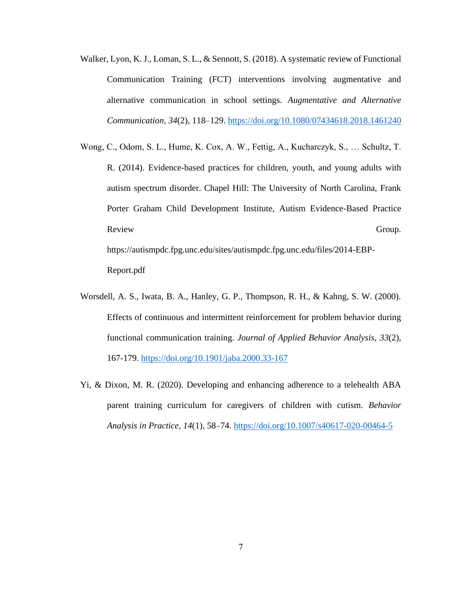- Walker, Lyon, K. J., Loman, S. L., & Sennott, S. (2018). A systematic review of Functional Communication Training (FCT) interventions involving augmentative and alternative communication in school settings. *Augmentative and Alternative Communication*, *34*(2), 118–129.<https://doi.org/10.1080/07434618.2018.1461240>
- Wong, C., Odom, S. L., Hume, K. Cox, A. W., Fettig, A., Kucharczyk, S., … Schultz, T. R. (2014). Evidence-based practices for children, youth, and young adults with autism spectrum disorder. Chapel Hill: The University of North Carolina, Frank Porter Graham Child Development Institute, Autism Evidence-Based Practice Review Group. https://autismpdc.fpg.unc.edu/sites/autismpdc.fpg.unc.edu/files/2014-EBP-Report.pdf
- Worsdell, A. S., Iwata, B. A., Hanley, G. P., Thompson, R. H., & Kahng, S. W. (2000). Effects of continuous and intermittent reinforcement for problem behavior during functional communication training. *Journal of Applied Behavior Analysis*, *33*(2), 167-179.<https://doi.org/10.1901/jaba.2000.33-167>
- Yi, & Dixon, M. R. (2020). Developing and enhancing adherence to a telehealth ABA parent training curriculum for caregivers of children with cutism. *Behavior Analysis in Practice, 14*(1), 58–74.<https://doi.org/10.1007/s40617-020-00464-5>